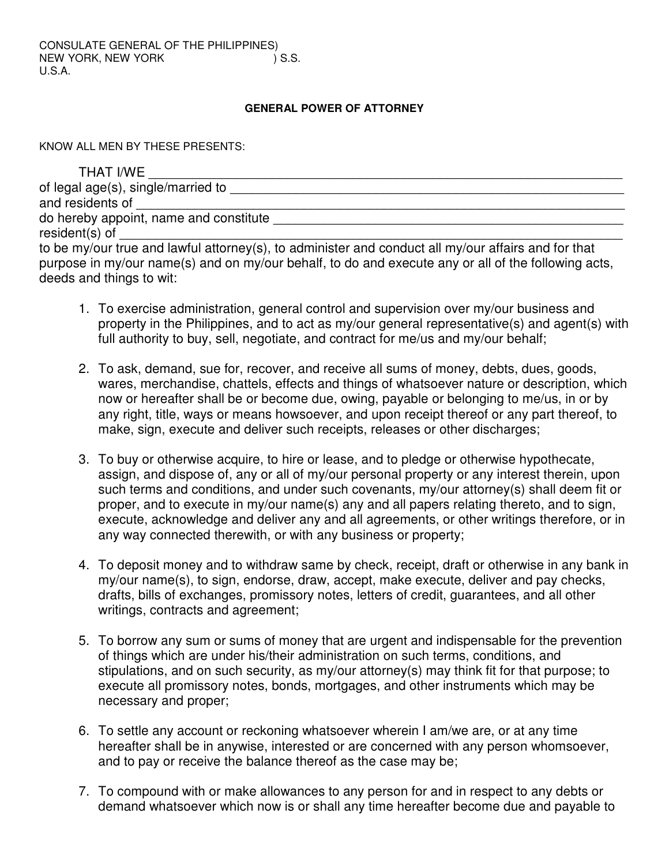## **GENERAL POWER OF ATTORNEY**

KNOW ALL MEN BY THESE PRESENTS:

| THAT I/WE                                                                                           |
|-----------------------------------------------------------------------------------------------------|
| of legal age(s), single/married to                                                                  |
| and residents of                                                                                    |
| do hereby appoint, name and constitute                                                              |
| resident(s) of                                                                                      |
| to be my/our true and lawful attorney(s), to administer and conduct all my/our affairs and for that |
| purpose in my/our name(s) and on my/our behalf, to do and execute any or all of the following acts, |
| deeds and things to wit:                                                                            |

- 1. To exercise administration, general control and supervision over my/our business and property in the Philippines, and to act as my/our general representative(s) and agent(s) with full authority to buy, sell, negotiate, and contract for me/us and my/our behalf;
- 2. To ask, demand, sue for, recover, and receive all sums of money, debts, dues, goods, wares, merchandise, chattels, effects and things of whatsoever nature or description, which now or hereafter shall be or become due, owing, payable or belonging to me/us, in or by any right, title, ways or means howsoever, and upon receipt thereof or any part thereof, to make, sign, execute and deliver such receipts, releases or other discharges;
- 3. To buy or otherwise acquire, to hire or lease, and to pledge or otherwise hypothecate, assign, and dispose of, any or all of my/our personal property or any interest therein, upon such terms and conditions, and under such covenants, my/our attorney(s) shall deem fit or proper, and to execute in my/our name(s) any and all papers relating thereto, and to sign, execute, acknowledge and deliver any and all agreements, or other writings therefore, or in any way connected therewith, or with any business or property;
- 4. To deposit money and to withdraw same by check, receipt, draft or otherwise in any bank in my/our name(s), to sign, endorse, draw, accept, make execute, deliver and pay checks, drafts, bills of exchanges, promissory notes, letters of credit, guarantees, and all other writings, contracts and agreement;
- 5. To borrow any sum or sums of money that are urgent and indispensable for the prevention of things which are under his/their administration on such terms, conditions, and stipulations, and on such security, as my/our attorney(s) may think fit for that purpose; to execute all promissory notes, bonds, mortgages, and other instruments which may be necessary and proper;
- 6. To settle any account or reckoning whatsoever wherein I am/we are, or at any time hereafter shall be in anywise, interested or are concerned with any person whomsoever, and to pay or receive the balance thereof as the case may be;
- 7. To compound with or make allowances to any person for and in respect to any debts or demand whatsoever which now is or shall any time hereafter become due and payable to